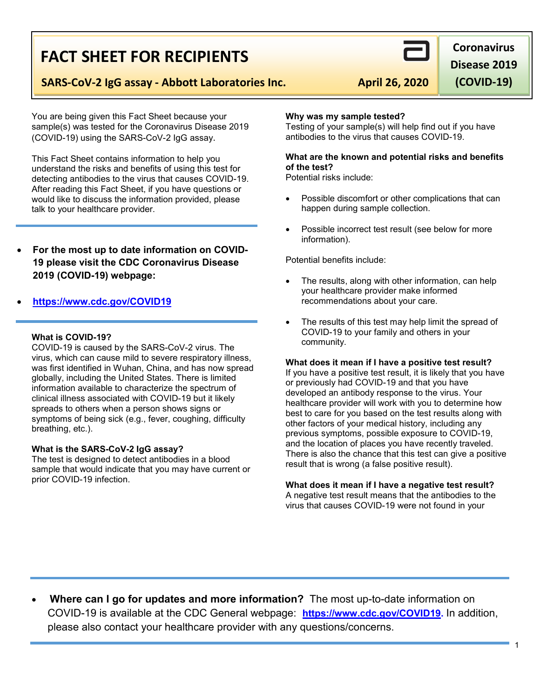## **SARS-CoV-2 IgG assay - Abbott Laboratories Inc.** April 26, 2020

**FACT SHEET FOR RECIPIENTS**

You are being given this Fact Sheet because your sample(s) was tested for the Coronavirus Disease 2019 (COVID-19) using the SARS-CoV-2 IgG assay.

This Fact Sheet contains information to help you understand the risks and benefits of using this test for detecting antibodies to the virus that causes COVID-19. After reading this Fact Sheet, if you have questions or would like to discuss the information provided, please talk to your healthcare provider.

For the most up to date information on COVID-**19 please visit the CDC Coronavirus Disease 2019 (COVID-19) webpage:** 

### x **[https://www.cdc.gov/COVID19](https://www.cdc.gov/nCoV)**

#### **What is COVID-19?**

COVID-19 is caused by the SARS-CoV-2 virus. The virus, which can cause mild to severe respiratory illness, was first identified in Wuhan, China, and has now spread globally, including the United States. There is limited information available to characterize the spectrum of clinical illness associated with COVID-19 but it likely spreads to others when a person shows signs or symptoms of being sick (e.g., fever, coughing, difficulty breathing, etc.).

#### **What is the SARS-CoV-2 IgG assay?**

The test is designed to detect antibodies in a blood sample that would indicate that you may have current or prior COVID-19 infection.

#### **Why was my sample tested?**

Testing of your sample(s) will help find out if you have antibodies to the virus that causes COVID-19.

#### **What are the known and potential risks and benefits of the test?**

Potential risks include:

- Possible discomfort or other complications that can happen during sample collection.
- Possible incorrect test result (see below for more information).

Potential benefits include:

- The results, along with other information, can help your healthcare provider make informed recommendations about your care.
- The results of this test may help limit the spread of COVID-19 to your family and others in your community.

#### **What does it mean if I have a positive test result?**

If you have a positive test result, it is likely that you have or previously had COVID-19 and that you have developed an antibody response to the virus. Your healthcare provider will work with you to determine how best to care for you based on the test results along with other factors of your medical history, including any previous symptoms, possible exposure to COVID-19, and the location of places you have recently traveled. There is also the chance that this test can give a positive result that is wrong (a false positive result).

**What does it mean if I have a negative test result?**

A negative test result means that the antibodies to the virus that causes COVID-19 were not found in your

x **Where can I go for updates and more information?** The most up-to-date information on COVID-19 is available at the CDC General webpage: **[https://www.cdc.gov/COVID19.](https://www.cdc.gov/nCoV)** In addition, please also contact your healthcare provider with any questions/concerns.



**Coronavirus** 

**Disease 2019** 

**(COVID-19)**

1